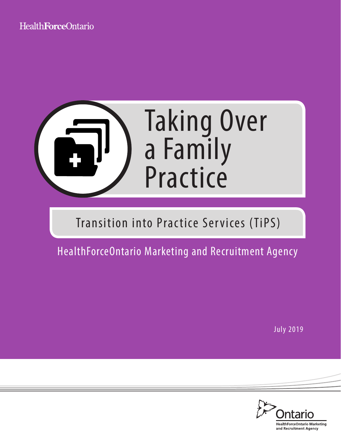# Health Force Ontario

Enrollment Model



# Transition into Practice Services (TiPS)

HealthForceOntario Marketing and Recruitment Agency

July 2019

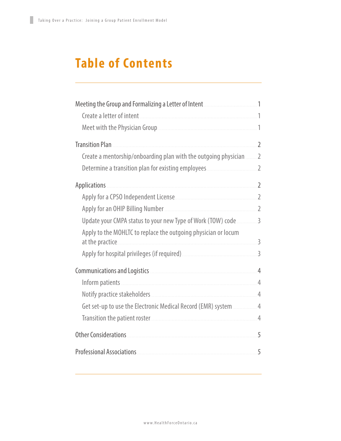# **Table of Contents**

| Meeting the Group and Formalizing a Letter of Intent <b>Material Action</b> 1                                          |   |
|------------------------------------------------------------------------------------------------------------------------|---|
| Create a letter of intent                                                                                              |   |
|                                                                                                                        |   |
| <b>Transition Plan</b>                                                                                                 |   |
| Create a mentorship/onboarding plan with the outgoing physician  2                                                     |   |
|                                                                                                                        |   |
| <b>Applications</b>                                                                                                    |   |
|                                                                                                                        |   |
|                                                                                                                        |   |
| Update your CMPA status to your new Type of Work (TOW) code  3                                                         |   |
| Apply to the MOHLTC to replace the outgoing physician or locum                                                         |   |
| at the practice.                                                                                                       |   |
|                                                                                                                        |   |
| Communications and Logistics <b>Manual According to Account According to Account Account Account Account Account A</b> |   |
|                                                                                                                        |   |
|                                                                                                                        |   |
| Get set-up to use the Electronic Medical Record (EMR) system  4                                                        |   |
| Transition the patient roster                                                                                          |   |
| <b>Other Considerations</b>                                                                                            | 5 |
|                                                                                                                        | 5 |
|                                                                                                                        |   |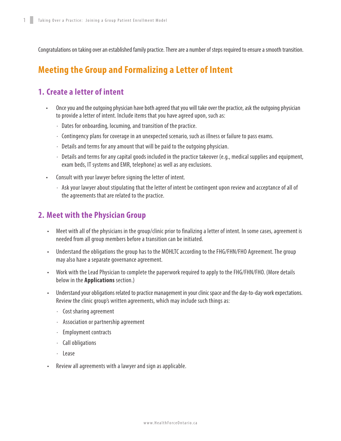Congratulations on taking over an established family practice. There are a number of steps required to ensure a smooth transition.

### **Meeting the Group and Formalizing a Letter of Intent**

#### **1. Create a letter of intent**

- Once you and the outgoing physician have both agreed that you will take over the practice, ask the outgoing physician to provide a letter of intent. Include items that you have agreed upon, such as:
	- ∙ Dates for onboarding, locuming, and transition of the practice.
	- ∙ Contingency plans for coverage in an unexpected scenario, such as illness or failure to pass exams.
	- ∙ Details and terms for any amount that will be paid to the outgoing physician.
	- ∙ Details and terms for any capital goods included in the practice takeover (e.g., medical supplies and equipment, exam beds, IT systems and EMR, telephone) as well as any exclusions.
- Consult with your lawyer before signing the letter of intent.
	- ∙ Ask your lawyer about stipulating that the letter of intent be contingent upon review and acceptance of all of the agreements that are related to the practice.

#### **2. Meet with the Physician Group**

- Meet with all of the physicians in the group/clinic prior to finalizing a letter of intent. In some cases, agreement is needed from all group members before a transition can be initiated.
- Understand the obligations the group has to the MOHLTC according to the FHG/FHN/FHO Agreement. The group may also have a separate governance agreement.
- Work with the Lead Physician to complete the paperwork required to apply to the FHG/FHN/FHO. (More details below in the **[Applications](#page-3-0)** section.)
- Understand your obligations related to practice management in your clinic space and the day-to-day work expectations. Review the clinic group's written agreements, which may include such things as:
	- ∙ Cost sharing agreement
	- ∙ Association or partnership agreement
	- ∙ Employment contracts
	- ∙ Call obligations
	- ∙ Lease
- Review all agreements with a lawyer and sign as applicable.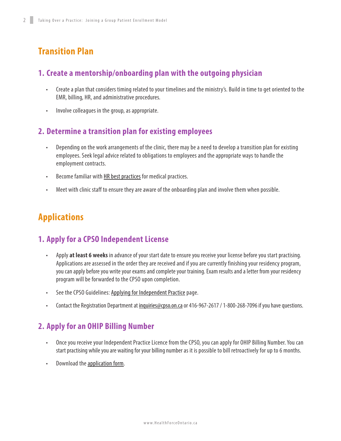# <span id="page-3-0"></span>**Transition Plan**

#### **1. Create a mentorship/onboarding plan with the outgoing physician**

- Create a plan that considers timing related to your timelines and the ministry's. Build in time to get oriented to the EMR, billing, HR, and administrative procedures.
- Involve colleagues in the group, as appropriate.

#### **2. Determine a transition plan for existing employees**

- Depending on the work arrangements of the clinic, there may be a need to develop a transition plan for existing employees. Seek legal advice related to obligations to employees and the appropriate ways to handle the employment contracts.
- Become familiar with [HR best practices](https://www.oma.org/wp-content/uploads/1_managingyourmedicalofficestaff.pdf) for medical practices.
- Meet with clinic staff to ensure they are aware of the onboarding plan and involve them when possible.

# **Applications**

#### **1. Apply for a CPSO Independent License**

- Apply **at least 6 weeks** in advance of your start date to ensure you receive your license before you start practising. Applications are assessed in the order they are received and if you are currently finishing your residency program, you can apply before you write your exams and complete your training. Exam results and a letter from your residency program will be forwarded to the CPSO upon completion.
- See the CPSO Guidelines: [Applying for Independent Practice](https://www.cpso.on.ca/Admin/CPSO/media/Documents/physician/registration-applicants/apply-for-registration/amr-guide.pdf) page.
- Contact the Registration Department at *inquiries@cpso.on.ca* or 416-967-2617 / 1-800-268-7096 if you have questions.

#### **2. Apply for an OHIP Billing Number**

- Once you receive your Independent Practice Licence from the CPSO, you can apply for OHIP Billing Number. You can start practising while you are waiting for your billing number as it is possible to bill retroactively for up to 6 months.
- Download the **[application form](http://www.health.gov.on.ca/english/providers/pub/ohip/physmanual/download/section_1.pdf)**.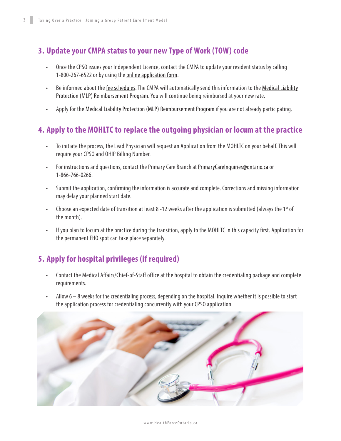### **3. Update your CMPA status to your new Type of Work (TOW) code**

- Once the CPSO issues your Independent Licence, contact the CMPA to update your resident status by calling 1-800-267-6522 or by using the [online application form.](https://www.cmpa-acpm.ca/en/joining-cmpa/how-to-apply)
- Be informed about the [fee schedules](https://www.cmpa-acpm.ca/static-assets/pdf/membership/fees-and-payment/2019cal-e.pdf). The CMPA will automatically send this information to the [Medical Liability](http://www.health.gov.on.ca/en/pro/programs/ohip/mlp/default.aspx) [Protection \(MLP\) Reimbursement Program](http://www.health.gov.on.ca/en/pro/programs/ohip/mlp/default.aspx). You will continue being reimbursed at your new rate.
- Apply for the [Medical Liability Protection \(MLP\) Reimbursement Program](http://www.health.gov.on.ca/en/pro/programs/ohip/mlp/default.aspx) if you are not already participating.

#### **4. Apply to the MOHLTC to replace the outgoing physician or locum at the practice**

- To initiate the process, the Lead Physician will request an Application from the MOHLTC on your behalf. This will require your CPSO and OHIP Billing Number.
- For instructions and questions, contact the Primary Care Branch at [PrimaryCareInquiries@ontario.ca](mailto:PrimaryCareInquiries%40ontario.ca?subject=) or 1-866-766-0266.
- Submit the application, confirming the information is accurate and complete. Corrections and missing information may delay your planned start date.
- Choose an expected date of transition at least 8 -12 weeks after the application is submitted (always the 1<sup>st</sup> of the month).
- If you plan to locum at the practice during the transition, apply to the MOHLTC in this capacity first. Application for the permanent FHO spot can take place separately.

## **5. Apply for hospital privileges (if required)**

- Contact the Medical Affairs/Chief-of-Staff office at the hospital to obtain the credentialing package and complete requirements.
- Allow  $6 8$  weeks for the credentialing process, depending on the hospital. Inquire whether it is possible to start the application process for credentialing concurrently with your CPSO application.



#### [www.HealthForceOntario.ca](http://www.healthforceontario.ca/en/M4/Transition_into_Practice_Service)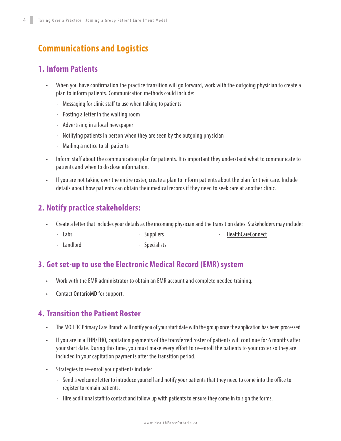# **Communications and Logistics**

#### **1. Inform Patients**

- When you have confirmation the practice transition will go forward, work with the outgoing physician to create a plan to inform patients. Communication methods could include:
	- ∙ Messaging for clinic staff to use when talking to patients
	- ∙ Posting a letter in the waiting room
	- ∙ Advertising in a local newspaper
	- ∙ Notifying patients in person when they are seen by the outgoing physician
	- ∙ Mailing a notice to all patients
- Inform staff about the communication plan for patients. It is important they understand what to communicate to patients and when to disclose information.
- If you are not taking over the entire roster, create a plan to inform patients about the plan for their care. Include details about how patients can obtain their medical records if they need to seek care at another clinic.

#### **2. Notify practice stakeholders:**

- Create a letter that includes your details as the incoming physician and the transition dates. Stakeholders may include:
	- ∙ Labs ∙ Suppliers ∙ [HealthCareConnect](http://www.health.gov.on.ca/en/ms/healthcareconnect/pro/)
	- ∙ Landlord ∙ Specialists

#### **3. Get set-up to use the Electronic Medical Record (EMR) system**

- Work with the EMR administrator to obtain an EMR account and complete needed training.
- Contact **OntarioMD** for support.

#### **4. Transition the Patient Roster**

- The MOHLTC Primary Care Branch will notify you of your start date with the group once the application has been processed.
- If you are in a FHN/FHO, capitation payments of the transferred roster of patients will continue for 6 months after your start date. During this time, you must make every effort to re-enroll the patients to your roster so they are included in your capitation payments after the transition period.
- Strategies to re-enroll your patients include:
	- ∙ Send a welcome letter to introduce yourself and notify your patients that they need to come into the office to register to remain patients.
	- ∙ Hire additional staff to contact and follow up with patients to ensure they come in to sign the forms.